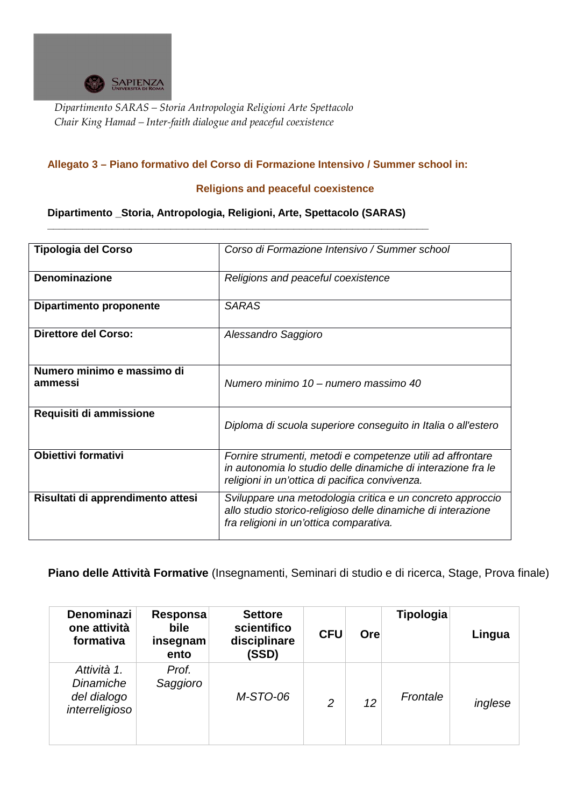

*Dipartimento SARAS – Storia Antropologia Religioni Arte Spettacolo Chair King Hamad – Inter-faith dialogue and peaceful coexistence* 

## **Allegato 3 – Piano formativo del Corso di Formazione Intensivo / Summer school in:**

## **Religions and peaceful coexistence**

**Dipartimento \_Storia, Antropologia, Religioni, Arte, Spettacolo (SARAS)** 

**\_\_\_\_\_\_\_\_\_\_\_\_\_\_\_\_\_\_\_\_\_\_\_\_\_\_\_\_\_\_\_\_\_\_\_\_\_\_\_\_\_\_\_\_\_\_\_\_\_\_\_\_\_\_\_\_\_\_\_\_\_\_\_\_\_** 

| <b>Tipologia del Corso</b>            | Corso di Formazione Intensivo / Summer school                                                                                                                                |
|---------------------------------------|------------------------------------------------------------------------------------------------------------------------------------------------------------------------------|
| <b>Denominazione</b>                  | Religions and peaceful coexistence                                                                                                                                           |
| <b>Dipartimento proponente</b>        | <b>SARAS</b>                                                                                                                                                                 |
| <b>Direttore del Corso:</b>           | Alessandro Saggioro                                                                                                                                                          |
| Numero minimo e massimo di<br>ammessi | Numero minimo 10 – numero massimo 40                                                                                                                                         |
| Requisiti di ammissione               | Diploma di scuola superiore conseguito in Italia o all'estero                                                                                                                |
| <b>Obiettivi formativi</b>            | Fornire strumenti, metodi e competenze utili ad affrontare<br>in autonomia lo studio delle dinamiche di interazione fra le<br>religioni in un'ottica di pacifica convivenza. |
| Risultati di apprendimento attesi     | Sviluppare una metodologia critica e un concreto approccio<br>allo studio storico-religioso delle dinamiche di interazione<br>fra religioni in un'ottica comparativa.        |

**Piano delle Attività Formative** (Insegnamenti, Seminari di studio e di ricerca, Stage, Prova finale)

| <b>Denominazi</b><br>one attività<br>formativa            | Responsa<br>bile<br>insegnam<br>ento | <b>Settore</b><br>scientifico<br>disciplinare<br>(SSD) | <b>CFU</b>     | Ore             | Tipologia | Lingua  |
|-----------------------------------------------------------|--------------------------------------|--------------------------------------------------------|----------------|-----------------|-----------|---------|
| Attività 1.<br>Dinamiche<br>del dialogo<br>interreligioso | Prof.<br>Saggioro                    | M-STO-06                                               | $\overline{2}$ | 12 <sup>2</sup> | Frontale  | inglese |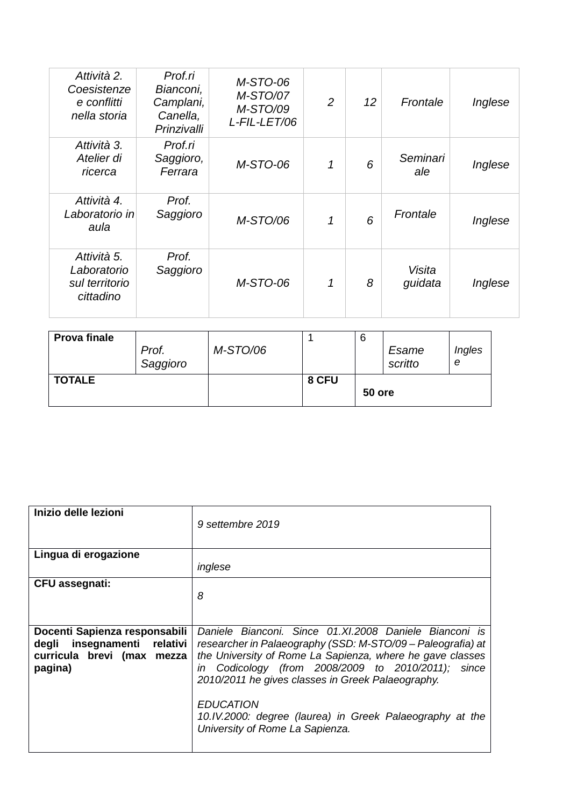| Attività 2.<br>Coesistenze<br>e conflitti<br>nella storia | Prof.ri<br>Bianconi,<br>Camplani,<br>Canella,<br>Prinzivalli | M-STO-06<br>M-STO/07<br>M-STO/09<br>L-FIL-LET/06 | $\overline{2}$ | 12 | Frontale          | Inglese |
|-----------------------------------------------------------|--------------------------------------------------------------|--------------------------------------------------|----------------|----|-------------------|---------|
| Attività 3.<br>Atelier di<br>ricerca                      | Prof.ri<br>Saggioro,<br>Ferrara                              | M-STO-06                                         | 1              | 6  | Seminari<br>ale   | Inglese |
| Attività 4.<br>Laboratorio in<br>aula                     | Prof.<br>Saggioro                                            | M-STO/06                                         | 1              | 6  | Frontale          | Inglese |
| Attività 5.<br>Laboratorio<br>sul territorio<br>cittadino | Prof.<br>Saggioro                                            | M-STO-06                                         | 1              | 8  | Visita<br>guidata | Inglese |

| <b>Prova finale</b> | Prof.<br>Saggioro | M-STO/06 |       | 6      | Esame<br>scritto | Ingles<br>e |
|---------------------|-------------------|----------|-------|--------|------------------|-------------|
| <b>TOTALE</b>       |                   |          | 8 CFU | 50 ore |                  |             |

| Inizio delle lezioni                                                                                  | 9 settembre 2019                                                                                                                                                                                                                                                                                                                                                                                                 |
|-------------------------------------------------------------------------------------------------------|------------------------------------------------------------------------------------------------------------------------------------------------------------------------------------------------------------------------------------------------------------------------------------------------------------------------------------------------------------------------------------------------------------------|
| Lingua di erogazione                                                                                  | inglese                                                                                                                                                                                                                                                                                                                                                                                                          |
|                                                                                                       |                                                                                                                                                                                                                                                                                                                                                                                                                  |
| <b>CFU</b> assegnati:                                                                                 | 8                                                                                                                                                                                                                                                                                                                                                                                                                |
| Docenti Sapienza responsabili<br>degli insegnamenti relativi<br>curricula brevi (max mezza<br>pagina) | Daniele Bianconi. Since 01.XI.2008 Daniele Bianconi is<br>researcher in Palaeography (SSD: M-STO/09 - Paleografia) at<br>the University of Rome La Sapienza, where he gave classes<br>in Codicology (from 2008/2009 to 2010/2011); since<br>2010/2011 he gives classes in Greek Palaeography.<br><b>EDUCATION</b><br>10.IV.2000: degree (laurea) in Greek Palaeography at the<br>University of Rome La Sapienza. |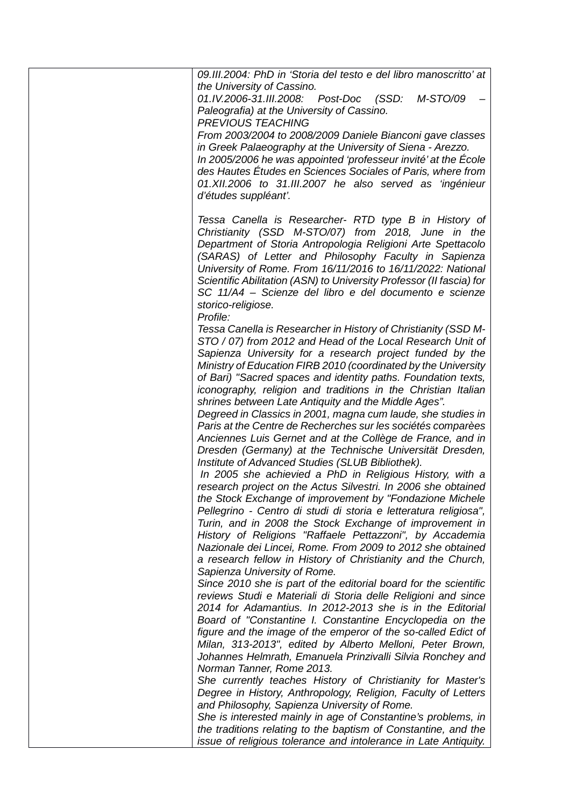| 09.III.2004: PhD in 'Storia del testo e del libro manoscritto' at<br>the University of Cassino.<br>01.IV.2006-31.III.2008: Post-Doc (SSD:<br>M-STO/09<br>Paleografia) at the University of Cassino.<br><b>PREVIOUS TEACHING</b><br>From 2003/2004 to 2008/2009 Daniele Bianconi gave classes<br>in Greek Palaeography at the University of Siena - Arezzo.<br>In 2005/2006 he was appointed 'professeur invité' at the École<br>des Hautes Études en Sciences Sociales of Paris, where from<br>01.XII.2006 to 31.III.2007 he also served as 'ingénieur<br>d'études suppléant'.                             |
|------------------------------------------------------------------------------------------------------------------------------------------------------------------------------------------------------------------------------------------------------------------------------------------------------------------------------------------------------------------------------------------------------------------------------------------------------------------------------------------------------------------------------------------------------------------------------------------------------------|
| Tessa Canella is Researcher- RTD type B in History of<br>Christianity (SSD M-STO/07) from 2018, June in the<br>Department of Storia Antropologia Religioni Arte Spettacolo<br>(SARAS) of Letter and Philosophy Faculty in Sapienza<br>University of Rome. From 16/11/2016 to 16/11/2022: National<br>Scientific Abilitation (ASN) to University Professor (II fascia) for<br>SC 11/A4 - Scienze del libro e del documento e scienze<br>storico-religiose.<br>Profile:                                                                                                                                      |
| Tessa Canella is Researcher in History of Christianity (SSD M-<br>STO / 07) from 2012 and Head of the Local Research Unit of<br>Sapienza University for a research project funded by the<br>Ministry of Education FIRB 2010 (coordinated by the University<br>of Bari) "Sacred spaces and identity paths. Foundation texts,<br>iconography, religion and traditions in the Christian Italian<br>shrines between Late Antiquity and the Middle Ages".<br>Degreed in Classics in 2001, magna cum laude, she studies in                                                                                       |
| Paris at the Centre de Recherches sur les sociétés comparèes<br>Anciennes Luis Gernet and at the Collège de France, and in<br>Dresden (Germany) at the Technische Universität Dresden,<br>Institute of Advanced Studies (SLUB Bibliothek).<br>In 2005 she achievied a PhD in Religious History, with a<br>research project on the Actus Silvestri. In 2006 she obtained<br>the Stock Exchange of improvement by "Fondazione Michele<br>Pellegrino - Centro di studi di storia e letteratura religiosa",<br>Turin, and in 2008 the Stock Exchange of improvement in                                         |
| History of Religions "Raffaele Pettazzoni", by Accademia<br>Nazionale dei Lincei, Rome. From 2009 to 2012 she obtained<br>a research fellow in History of Christianity and the Church,<br>Sapienza University of Rome.<br>Since 2010 she is part of the editorial board for the scientific<br>reviews Studi e Materiali di Storia delle Religioni and since<br>2014 for Adamantius. In 2012-2013 she is in the Editorial<br>Board of "Constantine I. Constantine Encyclopedia on the                                                                                                                       |
| figure and the image of the emperor of the so-called Edict of<br>Milan, 313-2013", edited by Alberto Melloni, Peter Brown,<br>Johannes Helmrath, Emanuela Prinzivalli Silvia Ronchey and<br>Norman Tanner, Rome 2013.<br>She currently teaches History of Christianity for Master's<br>Degree in History, Anthropology, Religion, Faculty of Letters<br>and Philosophy, Sapienza University of Rome.<br>She is interested mainly in age of Constantine's problems, in<br>the traditions relating to the baptism of Constantine, and the<br>issue of religious tolerance and intolerance in Late Antiquity. |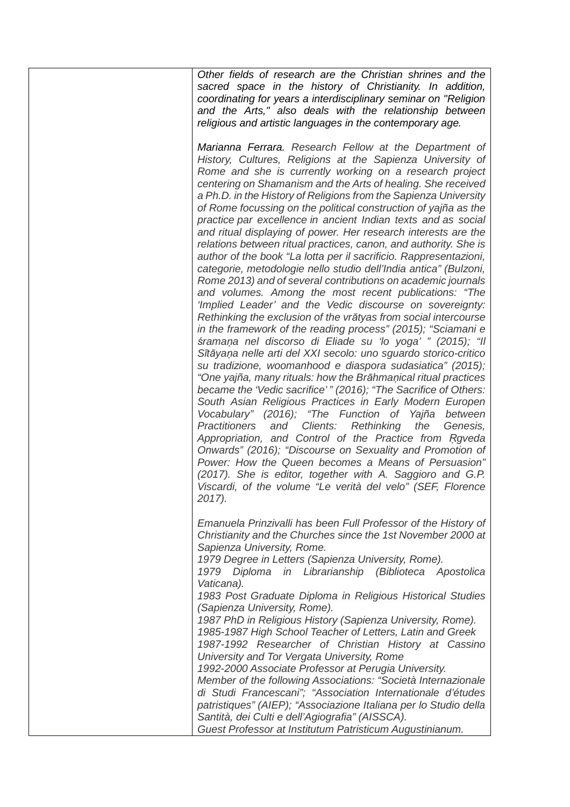Other fields of research are the Christian shrines and the sacred space in the history of Christianity. In addition, coordinating for years a interdisciplinary seminar on "Religion and the Arts," also deals with the relationship between religious and artistic languages in the contemporary age.

Marianna Ferrara. Research Fellow at the Department of History, Cultures, Religions at the Sapienza University of Rome and she is currently working on a research project centering on Shamanism and the Arts of healing. She received a Ph.D. in the History of Religions from the Sapienza University of Rome focussing on the political construction of yajña as the practice par excellence in ancient Indian texts and as social and ritual displaying of power. Her research interests are the relations between ritual practices, canon, and authority. She is author of the book "La lotta per il sacrificio. Rappresentazioni, categorie, metodologie nello studio dell'India antica" (Bulzoni, Rome 2013) and of several contributions on academic journals and volumes. Among the most recent publications: "The 'Implied Leader' and the Vedic discourse on sovereignty: Rethinking the exclusion of the vr*ā*tyas from social intercourse in the framework of the reading process" (2015); "Sciamani e *ś*rama*ṇ*a nel discorso di Eliade su 'lo yoga' " (2015); "Il S*ī*t*ā*ya*ṇ*a nelle arti del XXI secolo: uno sguardo storico-critico su tradizione, woomanhood e diaspora sudasiatica" (2015); "One yajña, many rituals: how the Br*ā*hma*ṇ*ical ritual practices became the 'Vedic sacrifice' " (2016); "The Sacrifice of Others: South Asian Religious Practices in Early Modern Europen Vocabulary" (2016); "The Function of Yajña between Practitioners and Clients: Rethinking the Genesis, Appropriation, and Control of the Practice from Raveda Onwards" (2016); "Discourse on Sexuality and Promotion of Power: How the Queen becomes a Means of Persuasion" (2017). She is editor, together with A. Saggioro and G.P. Viscardi, of the volume "Le verità del velo" (SEF, Florence 2017).

Emanuela Prinzivalli has been Full Professor of the History of Christianity and the Churches since the 1st November 2000 at Sapienza University, Rome.

1979 Degree in Letters (Sapienza University, Rome).

1979 Diploma in Librarianship (Biblioteca Apostolica Vaticana).

1983 Post Graduate Diploma in Religious Historical Studies (Sapienza University, Rome).

1987 PhD in Religious History (Sapienza University, Rome). 1985-1987 High School Teacher of Letters, Latin and Greek

1987-1992 Researcher of Christian History at Cassino University and Tor Vergata University, Rome

1992-2000 Associate Professor at Perugia University.

Member of the following Associations: "Società Internazionale di Studi Francescani"; "Association Internationale d'études patristiques" (AIEP); "Associazione Italiana per lo Studio della Santità, dei Culti e dell'Agiografia" (AISSCA).

Guest Professor at Institutum Patristicum Augustinianum.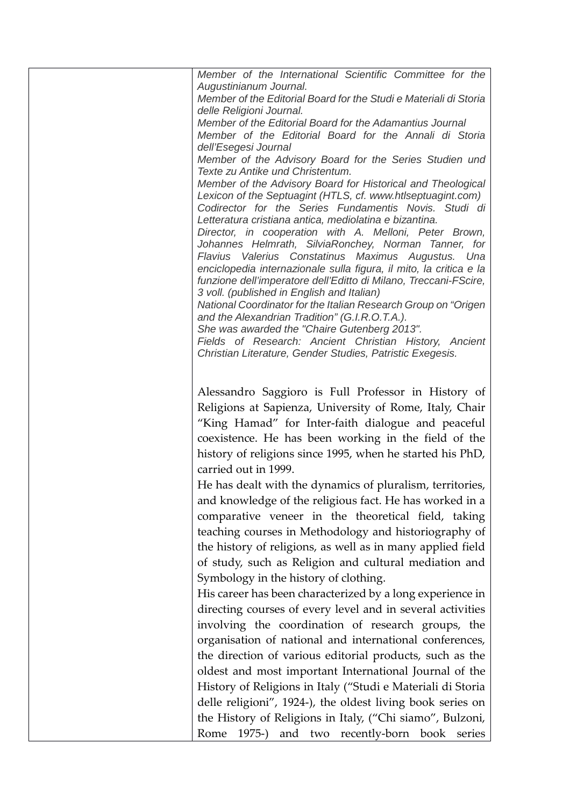Member of the International Scientific Committee for the Augustinianum Journal. Member of the Editorial Board for the Studi e Materiali di Storia delle Religioni Journal. Member of the Editorial Board for the Adamantius Journal Member of the Editorial Board for the Annali di Storia dell'Esegesi Journal Member of the Advisory Board for the Series Studien und Texte zu Antike und Christentum. Member of the Advisory Board for Historical and Theological Lexicon of the Septuagint (HTLS, cf. www.htlseptuagint.com) Codirector for the Series Fundamentis Novis. Studi di Letteratura cristiana antica, mediolatina e bizantina. Director, in cooperation with A. Melloni, Peter Brown, Johannes Helmrath, SilviaRonchey, Norman Tanner, for Flavius Valerius Constatinus Maximus Augustus. Una enciclopedia internazionale sulla figura, il mito, la critica e la funzione dell'imperatore dell'Editto di Milano, Treccani-FScire, 3 voll. (published in English and Italian) National Coordinator for the Italian Research Group on "Origen and the Alexandrian Tradition" (G.I.R.O.T.A.). She was awarded the "Chaire Gutenberg 2013". Fields of Research: Ancient Christian History, Ancient Christian Literature, Gender Studies, Patristic Exegesis. Alessandro Saggioro is Full Professor in History of Religions at Sapienza, University of Rome, Italy, Chair "King Hamad" for Inter-faith dialogue and peaceful coexistence. He has been working in the field of the history of religions since 1995, when he started his PhD, carried out in 1999. He has dealt with the dynamics of pluralism, territories, and knowledge of the religious fact. He has worked in a comparative veneer in the theoretical field, taking teaching courses in Methodology and historiography of the history of religions, as well as in many applied field of study, such as Religion and cultural mediation and Symbology in the history of clothing. His career has been characterized by a long experience in directing courses of every level and in several activities involving the coordination of research groups, the organisation of national and international conferences, the direction of various editorial products, such as the oldest and most important International Journal of the History of Religions in Italy ("Studi e Materiali di Storia delle religioni", 1924-), the oldest living book series on the History of Religions in Italy, ("Chi siamo", Bulzoni, Rome 1975-) and two recently-born book series